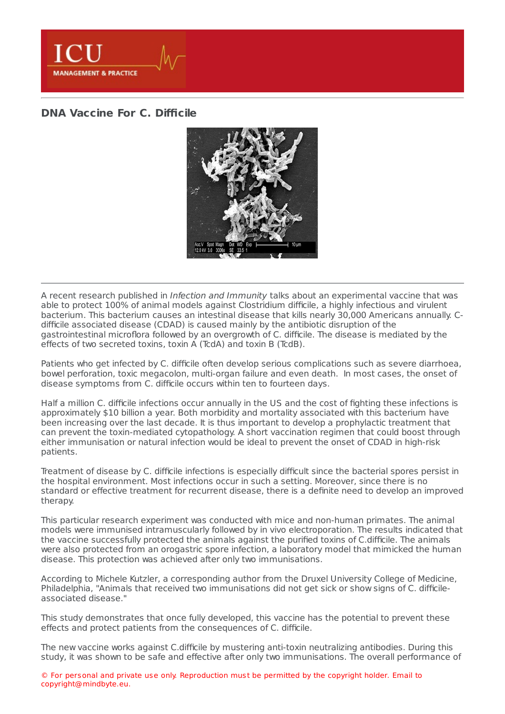

## **DNA [Vaccine](https://healthmanagement.org/s/dna-vaccine-for-c-difficile) For C. Difficile**



A recent research published in Infection and Immunity talks about an experimental vaccine that was able to protect 100% of animal models against Clostridium difficile, a highly infectious and virulent bacterium. This bacterium causes an intestinal disease that kills nearly 30,000 Americans annually. Cdifficile associated disease (CDAD) is caused mainly by the antibiotic disruption of the gastrointestinal microflora followed by an overgrowth of C. difficile. The disease is mediated by the effects of two secreted toxins, toxin A (TcdA) and toxin B (TcdB).

Patients who get infected by C. difficile often develop serious complications such as severe diarrhoea, bowel perforation, toxic megacolon, multi-organ failure and even death. In most cases, the onset of disease symptoms from C. difficile occurs within ten to fourteen days.

Half a million C. difficile infections occur annually in the US and the cost of fighting these infections is approximately \$10 billion a year. Both morbidity and mortality associated with this bacterium have been increasing over the last decade. It is thus important to develop a prophylactic treatment that can prevent the toxin-mediated cytopathology. A short vaccination regimen that could boost through either immunisation or natural infection would be ideal to prevent the onset of CDAD in high-risk patients.

Treatment of disease by C. difficile infections is especially difficult since the bacterial spores persist in the hospital environment. Most infections occur in such a setting. Moreover, since there is no standard or effective treatment for recurrent disease, there is a definite need to develop an improved therapy.

This particular research experiment was conducted with mice and non-human primates. The animal models were immunised intramuscularly followed by in vivo electroporation. The results indicated that the vaccine successfully protected the animals against the purified toxins of C.difficile. The animals were also protected from an orogastric spore infection, a laboratory model that mimicked the human disease. This protection was achieved after only two immunisations.

According to Michele Kutzler, a corresponding author from the Druxel University College of Medicine, Philadelphia, "Animals that received two immunisations did not get sick or show signs of C. difficileassociated disease."

This study demonstrates that once fully developed, this vaccine has the potential to prevent these effects and protect patients from the consequences of C. difficile.

The new vaccine works against C.difficile by mustering anti-toxin neutralizing antibodies. During this study, it was shown to be safe and effective after only two immunisations. The overall performance of

© For personal and private use only. Reproduction must be permitted by the copyright holder. Email to copyright@mindbyte.eu.